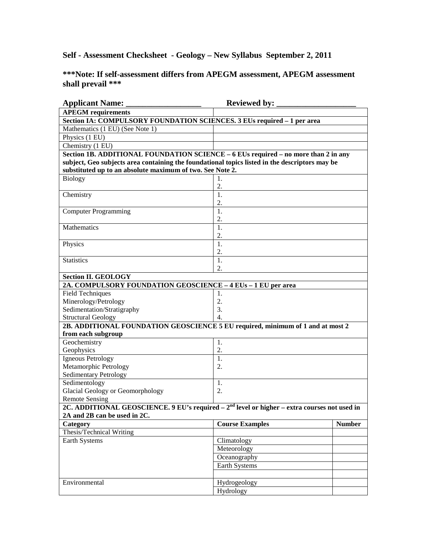**Self - Assessment Checksheet - Geology – New Syllabus September 2, 2011** 

**\*\*\*Note: If self-assessment differs from APEGM assessment, APEGM assessment shall prevail \*\*\*** 

| <b>Applicant Name:</b>                                                                          | <b>Reviewed by:</b>    |               |
|-------------------------------------------------------------------------------------------------|------------------------|---------------|
| <b>APEGM</b> requirements                                                                       |                        |               |
| Section IA: COMPULSORY FOUNDATION SCIENCES. 3 EUs required - 1 per area                         |                        |               |
| Mathematics (1 EU) (See Note 1)                                                                 |                        |               |
| Physics (1 EU)                                                                                  |                        |               |
| Chemistry (1 EU)                                                                                |                        |               |
| Section 1B. ADDITIONAL FOUNDATION SCIENCE - 6 EUs required - no more than 2 in any              |                        |               |
| subject, Geo subjects area containing the foundational topics listed in the descriptors may be  |                        |               |
| substituted up to an absolute maximum of two. See Note 2.                                       |                        |               |
| <b>Biology</b>                                                                                  | 1.                     |               |
|                                                                                                 | 2.                     |               |
| Chemistry                                                                                       | 1.                     |               |
|                                                                                                 | 2.                     |               |
| <b>Computer Programming</b>                                                                     | 1.                     |               |
|                                                                                                 | 2.                     |               |
| Mathematics                                                                                     | 1.                     |               |
|                                                                                                 | 2.                     |               |
| Physics                                                                                         | 1.                     |               |
|                                                                                                 | 2.                     |               |
| <b>Statistics</b>                                                                               | 1.                     |               |
|                                                                                                 | 2.                     |               |
| <b>Section II. GEOLOGY</b>                                                                      |                        |               |
| 2A. COMPULSORY FOUNDATION GEOSCIENCE - 4 EUs - 1 EU per area                                    |                        |               |
| <b>Field Techniques</b>                                                                         | 1.                     |               |
| Minerology/Petrology                                                                            | 2.                     |               |
| Sedimentation/Stratigraphy                                                                      | 3.                     |               |
| <b>Structural Geology</b>                                                                       | $\overline{4}$ .       |               |
| 2B. ADDITIONAL FOUNDATION GEOSCIENCE 5 EU required, minimum of 1 and at most 2                  |                        |               |
| from each subgroup                                                                              |                        |               |
| Geochemistry<br>Geophysics                                                                      | 1.<br>2.               |               |
| Igneous Petrology                                                                               | 1.                     |               |
| Metamorphic Petrology                                                                           | $\overline{2}$ .       |               |
| <b>Sedimentary Petrology</b>                                                                    |                        |               |
| Sedimentology                                                                                   | 1.                     |               |
| <b>Glacial Geology or Geomorphology</b>                                                         | 2.                     |               |
| <b>Remote Sensing</b>                                                                           |                        |               |
| 2C. ADDITIONAL GEOSCIENCE. 9 EU's required $-2nd$ level or higher $-$ extra courses not used in |                        |               |
| 2A and 2B can be used in 2C.                                                                    |                        |               |
| Category                                                                                        | <b>Course Examples</b> | <b>Number</b> |
| Thesis/Technical Writing                                                                        |                        |               |
| Earth Systems                                                                                   | Climatology            |               |
|                                                                                                 | Meteorology            |               |
|                                                                                                 | Oceanography           |               |
|                                                                                                 | Earth Systems          |               |
|                                                                                                 |                        |               |
| Environmental                                                                                   | Hydrogeology           |               |
|                                                                                                 | Hydrology              |               |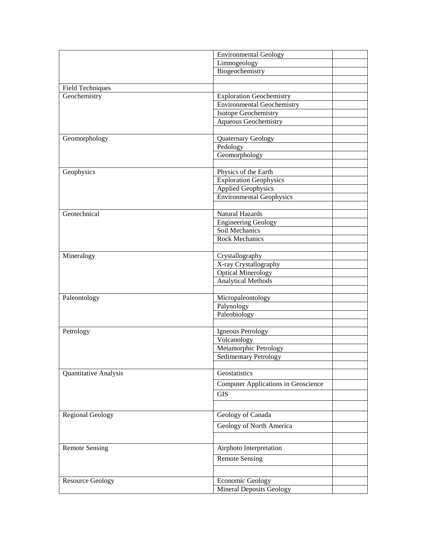|                         | <b>Environmental Geology</b>               |
|-------------------------|--------------------------------------------|
|                         | Limnogeology                               |
|                         | Biogeochemistry                            |
|                         |                                            |
| Field Techniques        |                                            |
| Geochemistry            | <b>Exploration Geochemistry</b>            |
|                         | <b>Environmental Geochemistry</b>          |
|                         | Isotope Geochemistry                       |
|                         | Aqueous Geochemistry                       |
|                         |                                            |
| Geomorphology           | Quaternary Geology                         |
|                         | Pedology                                   |
|                         | Geomorphology                              |
|                         |                                            |
| Geophysics              | Physics of the Earth                       |
|                         | <b>Exploration Geophysics</b>              |
|                         | <b>Applied Geophysics</b>                  |
|                         | <b>Environmental Geophysics</b>            |
|                         |                                            |
| Geotechnical            | Natural Hazards                            |
|                         | <b>Engineering Geology</b>                 |
|                         | Soil Mechanics                             |
|                         | <b>Rock Mechanics</b>                      |
|                         |                                            |
| Mineralogy              | Crystallography                            |
|                         | X-ray Crystallography                      |
|                         | <b>Optical Minerology</b>                  |
|                         | <b>Analytical Methods</b>                  |
|                         |                                            |
| Paleontology            | Micropaleontology                          |
|                         | Palynology<br>Paleobiology                 |
|                         |                                            |
| Petrology               | Igneous Petrology                          |
|                         | Volcanology                                |
|                         | Metamorphic Petrology                      |
|                         | <b>Sedimentary Petrology</b>               |
|                         |                                            |
| Quantitative Analysis   | Geostatistics                              |
|                         | <b>Computer Applications in Geoscience</b> |
|                         |                                            |
|                         | <b>GIS</b>                                 |
|                         |                                            |
| <b>Regional Geology</b> | Geology of Canada                          |
|                         | Geology of North America                   |
|                         |                                            |
|                         |                                            |
| <b>Remote Sensing</b>   | Airphoto Interpretation                    |
|                         | <b>Remote Sensing</b>                      |
|                         |                                            |
|                         |                                            |
| <b>Resource Geology</b> | <b>Economic Geology</b>                    |
|                         | <b>Mineral Deposits Geology</b>            |